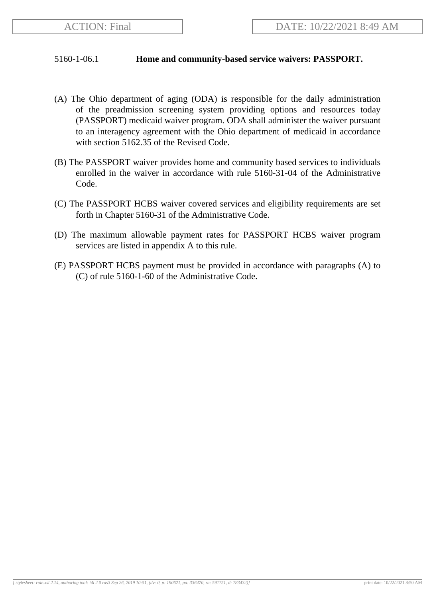## 5160-1-06.1 **Home and community-based service waivers: PASSPORT.**

- (A) The Ohio department of aging (ODA) is responsible for the daily administration of the preadmission screening system providing options and resources today (PASSPORT) medicaid waiver program. ODA shall administer the waiver pursuant to an interagency agreement with the Ohio department of medicaid in accordance with section 5162.35 of the Revised Code.
- (B) The PASSPORT waiver provides home and community based services to individuals enrolled in the waiver in accordance with rule 5160-31-04 of the Administrative Code.
- (C) The PASSPORT HCBS waiver covered services and eligibility requirements are set forth in Chapter 5160-31 of the Administrative Code.
- (D) The maximum allowable payment rates for PASSPORT HCBS waiver program services are listed in appendix A to this rule.
- (E) PASSPORT HCBS payment must be provided in accordance with paragraphs (A) to (C) of rule 5160-1-60 of the Administrative Code.